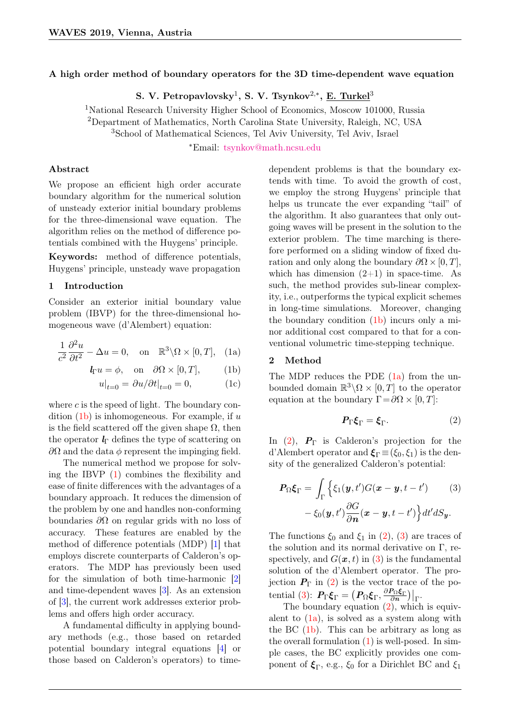# A high order method of boundary operators for the 3D time-dependent wave equation

S. V. Petropavlovsky<sup>1</sup>, S. V. Tsynkov<sup>2,\*</sup>, <u>E. Turkel</u><sup>3</sup>

<sup>1</sup>National Research University Higher School of Economics, Moscow 101000, Russia <sup>2</sup>Department of Mathematics, North Carolina State University, Raleigh, NC, USA <sup>3</sup>School of Mathematical Sciences, Tel Aviv University, Tel Aviv, Israel

<sup>∗</sup>Email: [tsynkov@math.ncsu.edu](mailto:tsynkov@math.ncsu.edu)

## Abstract

We propose an efficient high order accurate boundary algorithm for the numerical solution of unsteady exterior initial boundary problems for the three-dimensional wave equation. The algorithm relies on the method of difference potentials combined with the Huygens' principle.

Keywords: method of difference potentials, Huygens' principle, unsteady wave propagation

## 1 Introduction

Consider an exterior initial boundary value problem (IBVP) for the three-dimensional homogeneous wave (d'Alembert) equation:

$$
\frac{1}{c^2} \frac{\partial^2 u}{\partial t^2} - \Delta u = 0, \quad \text{on} \quad \mathbb{R}^3 \backslash \Omega \times [0, T], \quad \text{(1a)}
$$

$$
\mathbf{l}_{\Gamma}u = \phi, \quad \text{on} \quad \partial\Omega \times [0, T], \tag{1b}
$$

$$
u|_{t=0} = \partial u/\partial t|_{t=0} = 0,\tag{1c}
$$

where  $c$  is the speed of light. The boundary condition  $(1b)$  is inhomogeneous. For example, if u is the field scattered off the given shape  $\Omega$ , then the operator  $\mathbf{l}_{\Gamma}$  defines the type of scattering on  $\partial\Omega$  and the data  $\phi$  represent the impinging field.

The numerical method we propose for solving the IBVP [\(1\)](#page-0-1) combines the flexibility and ease of finite differences with the advantages of a boundary approach. It reduces the dimension of the problem by one and handles non-conforming boundaries  $\partial\Omega$  on regular grids with no loss of accuracy. These features are enabled by the method of difference potentials (MDP) [\[1\]](#page-1-0) that employs discrete counterparts of Calderon's operators. The MDP has previously been used for the simulation of both time-harmonic [\[2\]](#page-1-1) and time-dependent waves [\[3\]](#page-1-2). As an extension of [\[3\]](#page-1-2), the current work addresses exterior problems and offers high order accuracy.

A fundamental difficulty in applying boundary methods (e.g., those based on retarded potential boundary integral equations [\[4\]](#page-1-3) or those based on Calderon's operators) to timedependent problems is that the boundary extends with time. To avoid the growth of cost, we employ the strong Huygens' principle that helps us truncate the ever expanding "tail" of the algorithm. It also guarantees that only outgoing waves will be present in the solution to the exterior problem. The time marching is therefore performed on a sliding window of fixed duration and only along the boundary  $\partial \Omega \times [0, T]$ , which has dimension  $(2+1)$  in space-time. As such, the method provides sub-linear complexity, i.e., outperforms the typical explicit schemes in long-time simulations. Moreover, changing the boundary condition [\(1b\)](#page-0-0) incurs only a minor additional cost compared to that for a conventional volumetric time-stepping technique.

# <span id="page-0-2"></span><span id="page-0-1"></span><span id="page-0-0"></span>2 Method

The MDP reduces the PDE  $(1a)$  from the unbounded domain  $\mathbb{R}^3 \backslash \Omega \times [0, T]$  to the operator equation at the boundary  $\Gamma = \partial \Omega \times [0, T]$ :

<span id="page-0-4"></span><span id="page-0-3"></span>
$$
P_{\Gamma}\xi_{\Gamma} = \xi_{\Gamma}. \tag{2}
$$

In  $(2)$ ,  $P_{\Gamma}$  is Calderon's projection for the d'Alembert operator and  $\xi_{\Gamma} \equiv (\xi_0, \xi_1)$  is the density of the generalized Calderon's potential:

$$
\boldsymbol{P}_{\Omega} \boldsymbol{\xi}_{\Gamma} = \int_{\Gamma} \left\{ \xi_{1}(\boldsymbol{y}, t') G(\boldsymbol{x} - \boldsymbol{y}, t - t') \right\} (3) \\ - \xi_{0}(\boldsymbol{y}, t') \frac{\partial G}{\partial \boldsymbol{n}} (\boldsymbol{x} - \boldsymbol{y}, t - t') \right\} dt' dS_{\boldsymbol{y}}.
$$

The functions  $\xi_0$  and  $\xi_1$  in [\(2\)](#page-0-3), [\(3\)](#page-0-4) are traces of the solution and its normal derivative on  $\Gamma$ , respectively, and  $G(x, t)$  in [\(3\)](#page-0-4) is the fundamental solution of the d'Alembert operator. The projection  $P_{\Gamma}$  in [\(2\)](#page-0-3) is the vector trace of the po-tential [\(3\)](#page-0-4):  $\bm{P}_{\Gamma} \bm{\xi}_{\Gamma} = \left( \bm{P}_{\Omega} \bm{\xi}_{\Gamma}, \frac{\partial \bm{P}_{\Omega} \bm{\xi}_{\Gamma}}{\partial n} \right) \big|_{\Gamma}.$ 

The boundary equation  $(2)$ , which is equivalent to  $(1a)$ , is solved as a system along with the BC [\(1b\)](#page-0-0). This can be arbitrary as long as the overall formulation  $(1)$  is well-posed. In simple cases, the BC explicitly provides one component of  $\xi_{\Gamma}$ , e.g.,  $\xi_0$  for a Dirichlet BC and  $\xi_1$